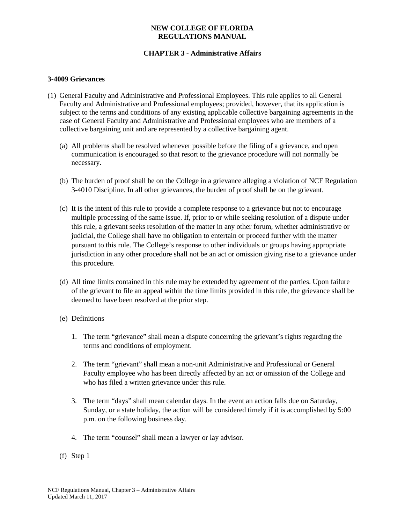# **CHAPTER 3 - Administrative Affairs**

#### **3-4009 Grievances**

- (1) General Faculty and Administrative and Professional Employees. This rule applies to all General Faculty and Administrative and Professional employees; provided, however, that its application is subject to the terms and conditions of any existing applicable collective bargaining agreements in the case of General Faculty and Administrative and Professional employees who are members of a collective bargaining unit and are represented by a collective bargaining agent.
	- (a) All problems shall be resolved whenever possible before the filing of a grievance, and open communication is encouraged so that resort to the grievance procedure will not normally be necessary.
	- (b) The burden of proof shall be on the College in a grievance alleging a violation of NCF Regulation 3-4010 Discipline. In all other grievances, the burden of proof shall be on the grievant.
	- (c) It is the intent of this rule to provide a complete response to a grievance but not to encourage multiple processing of the same issue. If, prior to or while seeking resolution of a dispute under this rule, a grievant seeks resolution of the matter in any other forum, whether administrative or judicial, the College shall have no obligation to entertain or proceed further with the matter pursuant to this rule. The College's response to other individuals or groups having appropriate jurisdiction in any other procedure shall not be an act or omission giving rise to a grievance under this procedure.
	- (d) All time limits contained in this rule may be extended by agreement of the parties. Upon failure of the grievant to file an appeal within the time limits provided in this rule, the grievance shall be deemed to have been resolved at the prior step.
	- (e) Definitions
		- 1. The term "grievance" shall mean a dispute concerning the grievant's rights regarding the terms and conditions of employment.
		- 2. The term "grievant" shall mean a non-unit Administrative and Professional or General Faculty employee who has been directly affected by an act or omission of the College and who has filed a written grievance under this rule.
		- 3. The term "days" shall mean calendar days. In the event an action falls due on Saturday, Sunday, or a state holiday, the action will be considered timely if it is accomplished by 5:00 p.m. on the following business day.
		- 4. The term "counsel" shall mean a lawyer or lay advisor.
	- (f) Step 1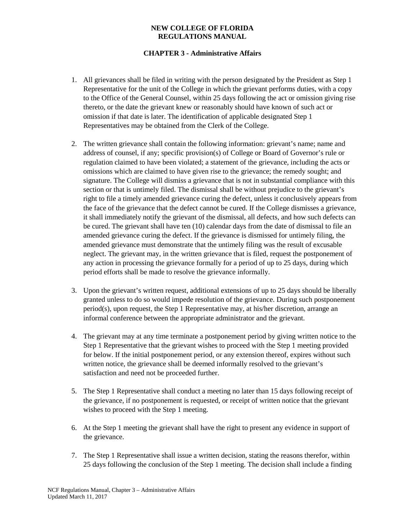# **CHAPTER 3 - Administrative Affairs**

- 1. All grievances shall be filed in writing with the person designated by the President as Step 1 Representative for the unit of the College in which the grievant performs duties, with a copy to the Office of the General Counsel, within 25 days following the act or omission giving rise thereto, or the date the grievant knew or reasonably should have known of such act or omission if that date is later. The identification of applicable designated Step 1 Representatives may be obtained from the Clerk of the College.
- 2. The written grievance shall contain the following information: grievant's name; name and address of counsel, if any; specific provision(s) of College or Board of Governor's rule or regulation claimed to have been violated; a statement of the grievance, including the acts or omissions which are claimed to have given rise to the grievance; the remedy sought; and signature. The College will dismiss a grievance that is not in substantial compliance with this section or that is untimely filed. The dismissal shall be without prejudice to the grievant's right to file a timely amended grievance curing the defect, unless it conclusively appears from the face of the grievance that the defect cannot be cured. If the College dismisses a grievance, it shall immediately notify the grievant of the dismissal, all defects, and how such defects can be cured. The grievant shall have ten (10) calendar days from the date of dismissal to file an amended grievance curing the defect. If the grievance is dismissed for untimely filing, the amended grievance must demonstrate that the untimely filing was the result of excusable neglect. The grievant may, in the written grievance that is filed, request the postponement of any action in processing the grievance formally for a period of up to 25 days, during which period efforts shall be made to resolve the grievance informally.
- 3. Upon the grievant's written request, additional extensions of up to 25 days should be liberally granted unless to do so would impede resolution of the grievance. During such postponement period(s), upon request, the Step 1 Representative may, at his/her discretion, arrange an informal conference between the appropriate administrator and the grievant.
- 4. The grievant may at any time terminate a postponement period by giving written notice to the Step 1 Representative that the grievant wishes to proceed with the Step 1 meeting provided for below. If the initial postponement period, or any extension thereof, expires without such written notice, the grievance shall be deemed informally resolved to the grievant's satisfaction and need not be proceeded further.
- 5. The Step 1 Representative shall conduct a meeting no later than 15 days following receipt of the grievance, if no postponement is requested, or receipt of written notice that the grievant wishes to proceed with the Step 1 meeting.
- 6. At the Step 1 meeting the grievant shall have the right to present any evidence in support of the grievance.
- 7. The Step 1 Representative shall issue a written decision, stating the reasons therefor, within 25 days following the conclusion of the Step 1 meeting. The decision shall include a finding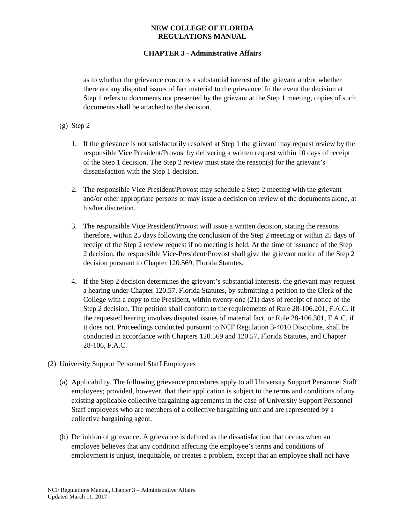# **CHAPTER 3 - Administrative Affairs**

as to whether the grievance concerns a substantial interest of the grievant and/or whether there are any disputed issues of fact material to the grievance. In the event the decision at Step 1 refers to documents not presented by the grievant at the Step 1 meeting, copies of such documents shall be attached to the decision.

### (g) Step 2

- 1. If the grievance is not satisfactorily resolved at Step 1 the grievant may request review by the responsible Vice President/Provost by delivering a written request within 10 days of receipt of the Step 1 decision. The Step 2 review must state the reason(s) for the grievant's dissatisfaction with the Step 1 decision.
- 2. The responsible Vice President/Provost may schedule a Step 2 meeting with the grievant and/or other appropriate persons or may issue a decision on review of the documents alone, at his/her discretion.
- 3. The responsible Vice President/Provost will issue a written decision, stating the reasons therefore, within 25 days following the conclusion of the Step 2 meeting or within 25 days of receipt of the Step 2 review request if no meeting is held. At the time of issuance of the Step 2 decision, the responsible Vice-President/Provost shall give the grievant notice of the Step 2 decision pursuant to Chapter 120.569, Florida Statutes.
- 4. If the Step 2 decision determines the grievant's substantial interests, the grievant may request a hearing under Chapter 120.57, Florida Statutes, by submitting a petition to the Clerk of the College with a copy to the President, within twenty-one (21) days of receipt of notice of the Step 2 decision. The petition shall conform to the requirements of Rule 28-106.201, F.A.C. if the requested hearing involves disputed issues of material fact, or Rule 28-106.301, F.A.C. if it does not. Proceedings conducted pursuant to NCF Regulation 3-4010 Discipline, shall be conducted in accordance with Chapters 120.569 and 120.57, Florida Statutes, and Chapter 28-106, F.A.C.
- (2) University Support Personnel Staff Employees
	- (a) Applicability. The following grievance procedures apply to all University Support Personnel Staff employees; provided, however, that their application is subject to the terms and conditions of any existing applicable collective bargaining agreements in the case of University Support Personnel Staff employees who are members of a collective bargaining unit and are represented by a collective bargaining agent.
	- (b) Definition of grievance. A grievance is defined as the dissatisfaction that occurs when an employee believes that any condition affecting the employee's terms and conditions of employment is unjust, inequitable, or creates a problem, except that an employee shall not have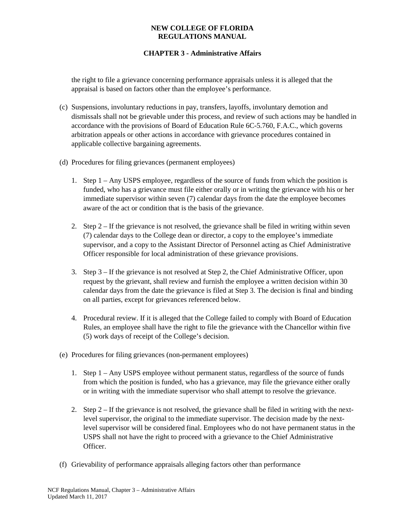# **CHAPTER 3 - Administrative Affairs**

the right to file a grievance concerning performance appraisals unless it is alleged that the appraisal is based on factors other than the employee's performance.

- (c) Suspensions, involuntary reductions in pay, transfers, layoffs, involuntary demotion and dismissals shall not be grievable under this process, and review of such actions may be handled in accordance with the provisions of Board of Education Rule 6C-5.760, F.A.C., which governs arbitration appeals or other actions in accordance with grievance procedures contained in applicable collective bargaining agreements.
- (d) Procedures for filing grievances (permanent employees)
	- 1. Step 1 Any USPS employee, regardless of the source of funds from which the position is funded, who has a grievance must file either orally or in writing the grievance with his or her immediate supervisor within seven (7) calendar days from the date the employee becomes aware of the act or condition that is the basis of the grievance.
	- 2. Step 2 If the grievance is not resolved, the grievance shall be filed in writing within seven (7) calendar days to the College dean or director, a copy to the employee's immediate supervisor, and a copy to the Assistant Director of Personnel acting as Chief Administrative Officer responsible for local administration of these grievance provisions.
	- 3. Step 3 If the grievance is not resolved at Step 2, the Chief Administrative Officer, upon request by the grievant, shall review and furnish the employee a written decision within 30 calendar days from the date the grievance is filed at Step 3. The decision is final and binding on all parties, except for grievances referenced below.
	- 4. Procedural review. If it is alleged that the College failed to comply with Board of Education Rules, an employee shall have the right to file the grievance with the Chancellor within five (5) work days of receipt of the College's decision.
- (e) Procedures for filing grievances (non-permanent employees)
	- 1. Step 1 Any USPS employee without permanent status, regardless of the source of funds from which the position is funded, who has a grievance, may file the grievance either orally or in writing with the immediate supervisor who shall attempt to resolve the grievance.
	- 2. Step 2 If the grievance is not resolved, the grievance shall be filed in writing with the nextlevel supervisor, the original to the immediate supervisor. The decision made by the nextlevel supervisor will be considered final. Employees who do not have permanent status in the USPS shall not have the right to proceed with a grievance to the Chief Administrative Officer.
- (f) Grievability of performance appraisals alleging factors other than performance